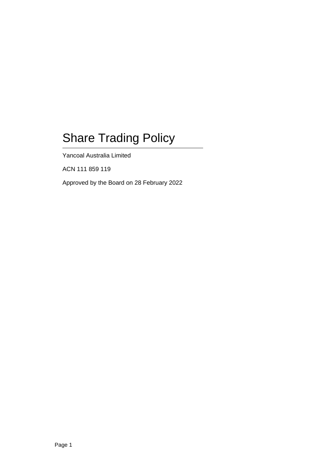# Share Trading Policy

Yancoal Australia Limited

ACN 111 859 119

Approved by the Board on 28 February 2022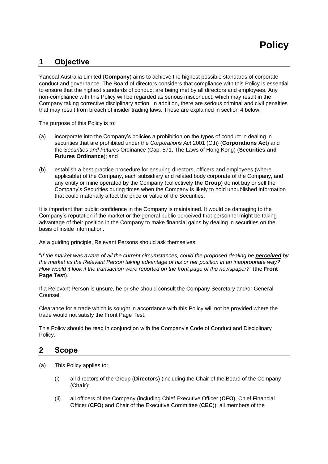# **1 Objective**

Yancoal Australia Limited (**Company**) aims to achieve the highest possible standards of corporate conduct and governance. The Board of directors considers that compliance with this Policy is essential to ensure that the highest standards of conduct are being met by all directors and employees. Any non-compliance with this Policy will be regarded as serious misconduct, which may result in the Company taking corrective disciplinary action. In addition, there are serious criminal and civil penalties that may result from breach of insider trading laws. These are explained in section 4 below.

The purpose of this Policy is to:

- (a) incorporate into the Company's policies a prohibition on the types of conduct in dealing in securities that are prohibited under the *Corporations Act* 2001 (Cth) (**Corporations Act**) and the *Securities and Futures* Ordinance (Cap. 571, The Laws of Hong Kong) (**Securities and Futures Ordinance**); and
- (b) establish a best practice procedure for ensuring directors, officers and employees (where applicable) of the Company, each subsidiary and related body corporate of the Company, and any entity or mine operated by the Company (collectively **the Group**) do not buy or sell the Company's Securities during times when the Company is likely to hold unpublished information that could materially affect the price or value of the Securities.

It is important that public confidence in the Company is maintained. It would be damaging to the Company's reputation if the market or the general public perceived that personnel might be taking advantage of their position in the Company to make financial gains by dealing in securities on the basis of inside information.

As a guiding principle, Relevant Persons should ask themselves:

"If the market was aware of all the current circumstances, could the proposed dealing be **perceived** by *the market as the Relevant Person taking advantage of his or her position in an inappropriate way? How would it look if the transaction were reported on the front page of the newspaper?*" (the **Front Page Test**).

If a Relevant Person is unsure, he or she should consult the Company Secretary and/or General Counsel.

Clearance for a trade which is sought in accordance with this Policy will not be provided where the trade would not satisfy the Front Page Test.

This Policy should be read in conjunction with the Company's Code of Conduct and Disciplinary Policy.

## **2 Scope**

- <span id="page-1-0"></span>(a) This Policy applies to:
	- (i) all directors of the Group (**Directors**) (including the Chair of the Board of the Company (**Chair**);
	- (ii) all officers of the Company (including Chief Executive Officer (**CEO**), Chief Financial Officer (**CFO**) and Chair of the Executive Committee (**CEC**)); all members of the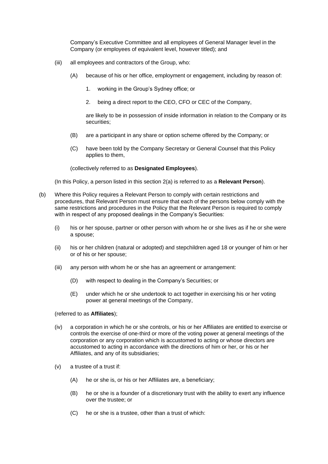Company's Executive Committee and all employees of General Manager level in the Company (or employees of equivalent level, however titled); and

- (iii) all employees and contractors of the Group, who:
	- (A) because of his or her office, employment or engagement, including by reason of:
		- 1. working in the Group's Sydney office; or
		- 2. being a direct report to the CEO, CFO or CEC of the Company,

are likely to be in possession of inside information in relation to the Company or its securities;

- (B) are a participant in any share or option scheme offered by the Company; or
- (C) have been told by the Company Secretary or General Counsel that this Policy applies to them,

(collectively referred to as **Designated Employees**).

(In this Policy, a person listed in this section [2\(a\)](#page-1-0) is referred to as a **Relevant Person**).

- (b) Where this Policy requires a Relevant Person to comply with certain restrictions and procedures, that Relevant Person must ensure that each of the persons below comply with the same restrictions and procedures in the Policy that the Relevant Person is required to comply with in respect of any proposed dealings in the Company's Securities:
	- (i) his or her spouse, partner or other person with whom he or she lives as if he or she were a spouse;
	- (ii) his or her children (natural or adopted) and stepchildren aged 18 or younger of him or her or of his or her spouse;
	- (iii) any person with whom he or she has an agreement or arrangement:
		- (D) with respect to dealing in the Company's Securities; or
		- (E) under which he or she undertook to act together in exercising his or her voting power at general meetings of the Company,

#### (referred to as **Affiliates**);

- (iv) a corporation in which he or she controls, or his or her Affiliates are entitled to exercise or controls the exercise of one-third or more of the voting power at general meetings of the corporation or any corporation which is accustomed to acting or whose directors are accustomed to acting in accordance with the directions of him or her, or his or her Affiliates, and any of its subsidiaries;
- (v) a trustee of a trust if:
	- (A) he or she is, or his or her Affiliates are, a beneficiary;
	- (B) he or she is a founder of a discretionary trust with the ability to exert any influence over the trustee; or
	- (C) he or she is a trustee, other than a trust of which: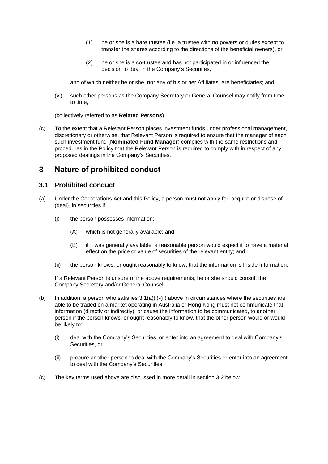- (1) he or she is a bare trustee (i.e. a trustee with no powers or duties except to transfer the shares according to the directions of the beneficial owners), or
- (2) he or she is a co-trustee and has not participated in or influenced the decision to deal in the Company's Securities,

and of which neither he or she, nor any of his or her Affiliates, are beneficiaries; and

(vi) such other persons as the Company Secretary or General Counsel may notify from time to time,

(collectively referred to as **Related Persons**).

(c) To the extent that a Relevant Person places investment funds under professional management, discretionary or otherwise, that Relevant Person is required to ensure that the manager of each such investment fund (**Nominated Fund Manager**) complies with the same restrictions and procedures in the Policy that the Relevant Person is required to comply with in respect of any proposed dealings in the Company's Securities.

# <span id="page-3-1"></span>**3 Nature of prohibited conduct**

#### <span id="page-3-0"></span>**3.1 Prohibited conduct**

- (a) Under the Corporations Act and this Policy, a person must not apply for, acquire or dispose of (deal), in securities if:
	- (i) the person possesses information:
		- (A) which is not generally available; and
		- (B) if it was generally available, a reasonable person would expect it to have a material effect on the price or value of securities of the relevant entity; and
	- (ii) the person knows, or ought reasonably to know, that the information is Inside Information.

If a Relevant Person is unsure of the above requirements, he or she should consult the Company Secretary and/or General Counsel.

- (b) In addition, a person who satisfies  $3.1(a)(i)$ -(ii) above in circumstances where the securities are able to be traded on a market operating in Australia or Hong Kong must not communicate that information (directly or indirectly), or cause the information to be communicated, to another person if the person knows, or ought reasonably to know, that the other person would or would be likely to:
	- (i) deal with the Company's Securities, or enter into an agreement to deal with Company's Securities, or
	- (ii) procure another person to deal with the Company's Securities or enter into an agreement to deal with the Company's Securities.
- (c) The key terms used above are discussed in more detail in section [3.2](#page-4-0) below.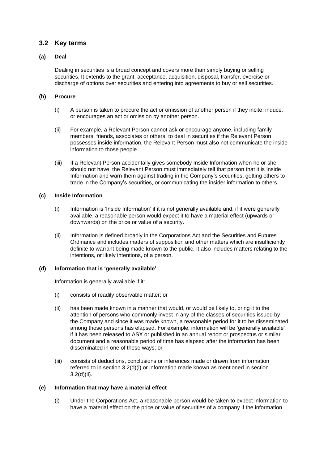#### <span id="page-4-0"></span>**3.2 Key terms**

#### **(a) Deal**

Dealing in securities is a broad concept and covers more than simply buying or selling securities. It extends to the grant, acceptance, acquisition, disposal, transfer, exercise or discharge of options over securities and entering into agreements to buy or sell securities.

#### **(b) Procure**

- (i) A person is taken to procure the act or omission of another person if they incite, induce, or encourages an act or omission by another person.
- (ii) For example, a Relevant Person cannot ask or encourage anyone, including family members, friends, associates or others, to deal in securities if the Relevant Person possesses inside information. the Relevant Person must also not communicate the inside information to those people.
- (iii) If a Relevant Person accidentally gives somebody Inside Information when he or she should not have, the Relevant Person must immediately tell that person that it is Inside Information and warn them against trading in the Company's securities, getting others to trade in the Company's securities, or communicating the insider information to others.

#### **(c) Inside Information**

- (i) Information is 'Inside Information' if it is not generally available and, if it were generally available, a reasonable person would expect it to have a material effect (upwards or downwards) on the price or value of a security.
- (ii) Information is defined broadly in the Corporations Act and the Securities and Futures Ordinance and includes matters of supposition and other matters which are insufficiently definite to warrant being made known to the public. It also includes matters relating to the intentions, or likely intentions, of a person.

#### **(d) Information that is 'generally available'**

Information is generally available if it:

- (i) consists of readily observable matter; or
- (ii) has been made known in a manner that would, or would be likely to, bring it to the attention of persons who commonly invest in any of the classes of securities issued by the Company and since it was made known, a reasonable period for it to be disseminated among those persons has elapsed. For example, information will be 'generally available' if it has been released to ASX or published in an annual report or prospectus or similar document and a reasonable period of time has elapsed after the information has been disseminated in one of these ways; or
- (iii) consists of deductions, conclusions or inferences made or drawn from information referred to in section [3.2\(](#page-4-0)d)(i) or information made known as mentioned in section [3.2\(](#page-4-0)d)(ii).

#### **(e) Information that may have a material effect**

(i) Under the Corporations Act, a reasonable person would be taken to expect information to have a material effect on the price or value of securities of a company if the information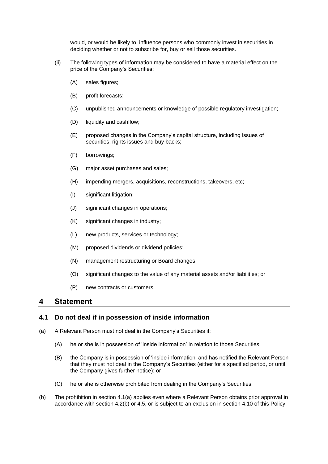would, or would be likely to, influence persons who commonly invest in securities in deciding whether or not to subscribe for, buy or sell those securities.

- (ii) The following types of information may be considered to have a material effect on the price of the Company's Securities:
	- (A) sales figures;
	- (B) profit forecasts;
	- (C) unpublished announcements or knowledge of possible regulatory investigation;
	- (D) liquidity and cashflow;
	- (E) proposed changes in the Company's capital structure, including issues of securities, rights issues and buy backs;
	- (F) borrowings;
	- (G) major asset purchases and sales;
	- (H) impending mergers, acquisitions, reconstructions, takeovers, etc;
	- (I) significant litigation;
	- (J) significant changes in operations;
	- (K) significant changes in industry;
	- (L) new products, services or technology;
	- (M) proposed dividends or dividend policies;
	- (N) management restructuring or Board changes;
	- (O) significant changes to the value of any material assets and/or liabilities; or
	- (P) new contracts or customers.

#### **4 Statement**

#### <span id="page-5-1"></span>**4.1 Do not deal if in possession of inside information**

- <span id="page-5-2"></span><span id="page-5-0"></span>(a) A Relevant Person must not deal in the Company's Securities if:
	- (A) he or she is in possession of 'inside information' in relation to those Securities;
	- (B) the Company is in possession of 'inside information' and has notified the Relevant Person that they must not deal in the Company's Securities (either for a specified period, or until the Company gives further notice); or
	- (C) he or she is otherwise prohibited from dealing in the Company's Securities.
- (b) The prohibition in section [4.1\(a\)](#page-5-0) applies even where a Relevant Person obtains prior approval in accordance with sectio[n 4.2\(b\)](#page-7-0) or [4.5,](#page-8-0) or is subject to an exclusion in section [4.10](#page-11-0) of this Policy,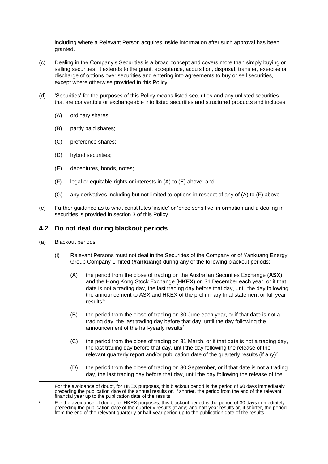including where a Relevant Person acquires inside information after such approval has been granted.

- (c) Dealing in the Company's Securities is a broad concept and covers more than simply buying or selling securities. It extends to the grant, acceptance, acquisition, disposal, transfer, exercise or discharge of options over securities and entering into agreements to buy or sell securities, except where otherwise provided in this Policy.
- (d) 'Securities' for the purposes of this Policy means listed securities and any unlisted securities that are convertible or exchangeable into listed securities and structured products and includes:
	- (A) ordinary shares;
	- (B) partly paid shares;
	- (C) preference shares;
	- (D) hybrid securities;
	- (E) debentures, bonds, notes;
	- (F) legal or equitable rights or interests in (A) to (E) above; and
	- (G) any derivatives including but not limited to options in respect of any of (A) to (F) above.
- (e) Further guidance as to what constitutes 'inside' or 'price sensitive' information and a dealing in securities is provided in section [3](#page-3-1) of this Policy.

## <span id="page-6-1"></span>**4.2 Do not deal during blackout periods**

- <span id="page-6-0"></span>(a) Blackout periods
	- (i) Relevant Persons must not deal in the Securities of the Company or of Yankuang Energy Group Company Limited (**Yankuang**) during any of the following blackout periods:
		- (A) the period from the close of trading on the Australian Securities Exchange (**ASX**) and the Hong Kong Stock Exchange (**HKEX**) on 31 December each year, or if that date is not a trading day, the last trading day before that day, until the day following the announcement to ASX and HKEX of the preliminary final statement or full year results<sup>1</sup>;
		- (B) the period from the close of trading on 30 June each year, or if that date is not a trading day, the last trading day before that day, until the day following the announcement of the half-yearly results<sup>2</sup>;
		- (C) the period from the close of trading on 31 March, or if that date is not a trading day, the last trading day before that day, until the day following the release of the relevant quarterly report and/or publication date of the quarterly results (if any)<sup>2</sup>;
		- (D) the period from the close of trading on 30 September, or if that date is not a trading day, the last trading day before that day, until the day following the release of the

<sup>1</sup> For the avoidance of doubt, for HKEX purposes, this blackout period is the period of 60 days immediately preceding the publication date of the annual results or, if shorter, the period from the end of the relevant financial year up to the publication date of the results.

For the avoidance of doubt, for HKEX purposes, this blackout period is the period of 30 days immediately preceding the publication date of the quarterly results (if any) and half-year results or, if shorter, the period from the end of the relevant quarterly or half-year period up to the publication date of the results.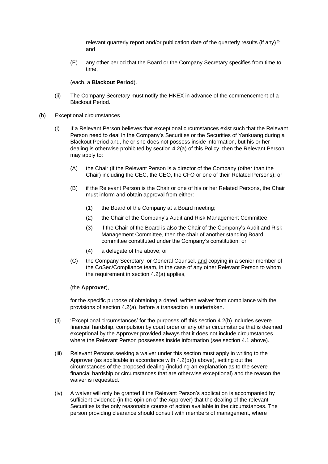relevant quarterly report and/or publication date of the quarterly results (if any)<sup>2</sup>; and

(E) any other period that the Board or the Company Secretary specifies from time to time,

#### (each, a **Blackout Period**).

- (ii) The Company Secretary must notify the HKEX in advance of the commencement of a Blackout Period.
- <span id="page-7-0"></span>(b) Exceptional circumstances
	- (i) If a Relevant Person believes that exceptional circumstances exist such that the Relevant Person need to deal in the Company's Securities or the Securities of Yankuang during a Blackout Period and, he or she does not possess inside information, but his or her dealing is otherwise prohibited by section [4.2\(a\)](#page-6-0) of this Policy, then the Relevant Person may apply to:
		- (A) the Chair (if the Relevant Person is a director of the Company (other than the Chair) including the CEC, the CEO, the CFO or one of their Related Persons); or
		- (B) if the Relevant Person is the Chair or one of his or her Related Persons, the Chair must inform and obtain approval from either:
			- (1) the Board of the Company at a Board meeting;
			- (2) the Chair of the Company's Audit and Risk Management Committee;
			- (3) if the Chair of the Board is also the Chair of the Company's Audit and Risk Management Committee, then the chair of another standing Board committee constituted under the Company's constitution; or
			- (4) a delegate of the above; or
		- (C) the Company Secretary or General Counsel, and copying in a senior member of the CoSec/Compliance team, in the case of any other Relevant Person to whom the requirement in section [4.2](#page-6-1)[\(a\)](#page-6-0) applies,

#### (the **Approver**),

for the specific purpose of obtaining a dated, written waiver from compliance with the provisions of section [4.2\(a\),](#page-6-0) before a transaction is undertaken.

- (ii) 'Exceptional circumstances' for the purposes off this section [4.2\(](#page-6-1)b) includes severe financial hardship, compulsion by court order or any other circumstance that is deemed exceptional by the Approver provided always that it does not include circumstances where the Relevant Person possesses inside information (see section [4.1](#page-5-1) above).
- (iii) Relevant Persons seeking a waiver under this section must apply in writing to the Approver (as applicable in accordance with [4.2\(](#page-6-1)b)(i) above), setting out the circumstances of the proposed dealing (including an explanation as to the severe financial hardship or circumstances that are otherwise exceptional) and the reason the waiver is requested.
- (iv) A waiver will only be granted if the Relevant Person's application is accompanied by sufficient evidence (in the opinion of the Approver) that the dealing of the relevant Securities is the only reasonable course of action available in the circumstances. The person providing clearance should consult with members of management, where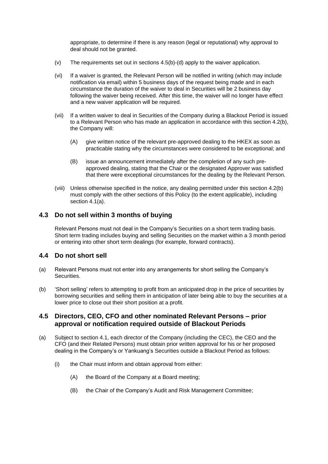appropriate, to determine if there is any reason (legal or reputational) why approval to deal should not be granted.

- (v) The requirements set out in sections [4.5\(b\)-](#page-9-0)(d) apply to the waiver application.
- (vi) If a waiver is granted, the Relevant Person will be notified in writing (which may include notification via email) within 5 business days of the request being made and in each circumstance the duration of the waiver to deal in Securities will be 2 business day following the waiver being received. After this time, the waiver will no longer have effect and a new waiver application will be required.
- (vii) If a written waiver to deal in Securities of the Company during a Blackout Period is issued to a Relevant Person who has made an application in accordance with this section [4.2\(b\),](#page-7-0) the Company will:
	- (A) give written notice of the relevant pre-approved dealing to the HKEX as soon as practicable stating why the circumstances were considered to be exceptional; and
	- (B) issue an announcement immediately after the completion of any such preapproved dealing, stating that the Chair or the designated Approver was satisfied that there were exceptional circumstances for the dealing by the Relevant Person.
- (viii) Unless otherwise specified in the notice, any dealing permitted under this section [4.2\(b\)](#page-7-0) must comply with the other sections of this Policy (to the extent applicable), including section [4.1\(a\).](#page-5-2)

## **4.3 Do not sell within 3 months of buying**

Relevant Persons must not deal in the Company's Securities on a short term trading basis. Short term trading includes buying and selling Securities on the market within a 3 month period or entering into other short term dealings (for example, forward contracts).

## **4.4 Do not short sell**

- (a) Relevant Persons must not enter into any arrangements for short selling the Company's Securities.
- (b) 'Short selling' refers to attempting to profit from an anticipated drop in the price of securities by borrowing securities and selling them in anticipation of later being able to buy the securities at a lower price to close out their short position at a profit.

#### <span id="page-8-0"></span>**4.5 Directors, CEO, CFO and other nominated Relevant Persons – prior approval or notification required outside of Blackout Periods**

- <span id="page-8-1"></span>(a) Subject to section [4.1,](#page-5-1) each director of the Company (including the CEC), the CEO and the CFO (and their Related Persons) must obtain prior written approval for his or her proposed dealing in the Company's or Yankuang's Securities outside a Blackout Period as follows:
	- (i) the Chair must inform and obtain approval from either:
		- (A) the Board of the Company at a Board meeting;
		- (B) the Chair of the Company's Audit and Risk Management Committee;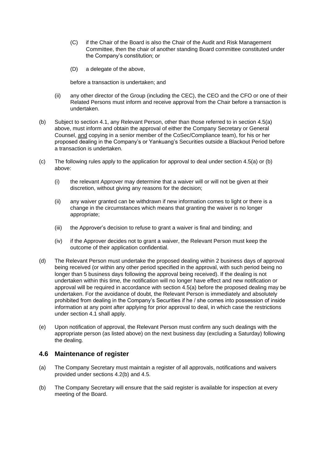- (C) if the Chair of the Board is also the Chair of the Audit and Risk Management Committee, then the chair of another standing Board committee constituted under the Company's constitution; or
- (D) a delegate of the above,

before a transaction is undertaken; and

- (ii) any other director of the Group (including the CEC), the CEO and the CFO or one of their Related Persons must inform and receive approval from the Chair before a transaction is undertaken.
- <span id="page-9-0"></span>(b) Subject to section [4.1,](#page-5-1) any Relevant Person, other than those referred to in section 4.5(a) above, must inform and obtain the approval of either the Company Secretary or General Counsel, and copying in a senior member of the CoSec/Compliance team), for his or her proposed dealing in the Company's or Yankuang's Securities outside a Blackout Period before a transaction is undertaken.
- (c) The following rules apply to the application for approval to deal under section [4.5](#page-8-0)[\(a\)](#page-8-1) or (b) above:
	- (i) the relevant Approver may determine that a waiver will or will not be given at their discretion, without giving any reasons for the decision;
	- (ii) any waiver granted can be withdrawn if new information comes to light or there is a change in the circumstances which means that granting the waiver is no longer appropriate;
	- (iii) the Approver's decision to refuse to grant a waiver is final and binding; and
	- (iv) if the Approver decides not to grant a waiver, the Relevant Person must keep the outcome of their application confidential.
- (d) The Relevant Person must undertake the proposed dealing within 2 business days of approval being received (or within any other period specified in the approval, with such period being no longer than 5 business days following the approval being received). If the dealing is not undertaken within this time, the notification will no longer have effect and new notification or approval will be required in accordance with section [4.5\(a\)](#page-8-1) before the proposed dealing may be undertaken. For the avoidance of doubt, the Relevant Person is immediately and absolutely prohibited from dealing in the Company's Securities if he / she comes into possession of inside information at any point after applying for prior approval to deal, in which case the restrictions under section 4.1 shall apply.
- (e) Upon notification of approval, the Relevant Person must confirm any such dealings with the appropriate person (as listed above) on the next business day (excluding a Saturday) following the dealing.

#### **4.6 Maintenance of register**

- (a) The Company Secretary must maintain a register of all approvals, notifications and waivers provided under sections [4.2\(b\)](#page-7-0) and [4.5.](#page-8-0)
- (b) The Company Secretary will ensure that the said register is available for inspection at every meeting of the Board.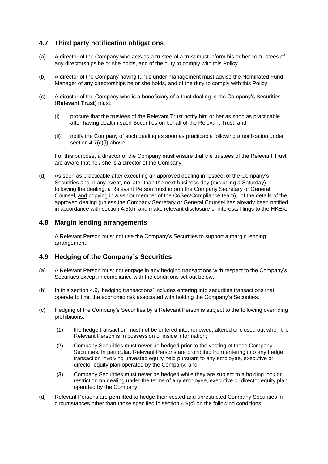## **4.7 Third party notification obligations**

- (a) A director of the Company who acts as a trustee of a trust must inform his or her co-trustees of any directorships he or she holds, and of the duty to comply with this Policy.
- (b) A director of the Company having funds under management must advise the Nominated Fund Manager of any directorships he or she holds, and of the duty to comply with this Policy.
- <span id="page-10-0"></span>(c) A director of the Company who is a beneficiary of a trust dealing in the Company's Securities (**Relevant Trust**) must:
	- (i) procure that the trustees of the Relevant Trust notify him or her as soon as practicable after having dealt in such Securities on behalf of the Relevant Trust; and
	- (ii) notify the Company of such dealing as soon as practicable following a notification under section [4.7\(c\)\(i\)](#page-10-0) above.

For this purpose, a director of the Company must ensure that the trustees of the Relevant Trust are aware that he / she is a director of the Company.

(d) As soon as practicable after executing an approved dealing in respect of the Company's Securities and in any event, no later than the next business day (excluding a Saturday) following the dealing, a Relevant Person must inform the Company Secretary or General Counsel, and copying in a senior member of the CoSec/Compliance team), of the details of the approved dealing (unless the Company Secretary or General Counsel has already been notified in accordance with section [4.5\(](#page-8-0)d), and make relevant disclosure of interests filings to the HKEX.

#### **4.8 Margin lending arrangements**

A Relevant Person must not use the Company's Securities to support a margin lending arrangement.

## <span id="page-10-1"></span>**4.9 Hedging of the Company's Securities**

- (a) A Relevant Person must not engage in any hedging transactions with respect to the Company's Securities except in compliance with the conditions set out below.
- (b) In this section [4.9,](#page-10-1) 'hedging transactions' includes entering into securities transactions that operate to limit the economic risk associated with holding the Company's Securities.
- <span id="page-10-2"></span>(c) Hedging of the Company's Securities by a Relevant Person is subject to the following overriding prohibitions:
	- (1) the hedge transaction must not be entered into, renewed, altered or closed out when the Relevant Person is in possession of inside information;
	- (2) Company Securities must never be hedged prior to the vesting of those Company Securities. In particular, Relevant Persons are prohibited from entering into any hedge transaction involving unvested equity held pursuant to any employee, executive or director equity plan operated by the Company; and
	- (3) Company Securities must never be hedged while they are subject to a holding lock or restriction on dealing under the terms of any employee, executive or director equity plan operated by the Company.
- (d) Relevant Persons are permitted to hedge their vested and unrestricted Company Securities in circumstances other than those specified in section [4.9\(c\)](#page-10-2) on the following conditions: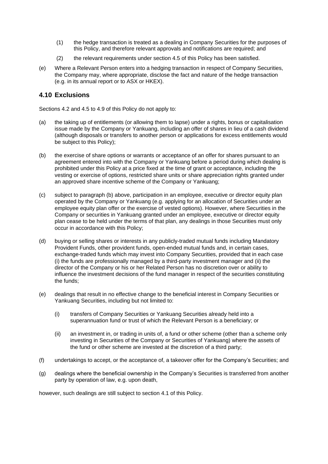- (1) the hedge transaction is treated as a dealing in Company Securities for the purposes of this Policy, and therefore relevant approvals and notifications are required; and
- (2) the relevant requirements under section [4.5](#page-8-0) of this Policy has been satisfied.
- (e) Where a Relevant Person enters into a hedging transaction in respect of Company Securities, the Company may, where appropriate, disclose the fact and nature of the hedge transaction (e.g. in its annual report or to ASX or HKEX).

### <span id="page-11-0"></span>**4.10 Exclusions**

Sections [4.2](#page-6-1) and [4.5](#page-8-0) to [4.9](#page-10-1) of this Policy do not apply to:

- (a) the taking up of entitlements (or allowing them to lapse) under a rights, bonus or capitalisation issue made by the Company or Yankuang, including an offer of shares in lieu of a cash dividend (although disposals or transfers to another person or applications for excess entitlements would be subject to this Policy);
- (b) the exercise of share options or warrants or acceptance of an offer for shares pursuant to an agreement entered into with the Company or Yankuang before a period during which dealing is prohibited under this Policy at a price fixed at the time of grant or acceptance, including the vesting or exercise of options, restricted share units or share appreciation rights granted under an approved share incentive scheme of the Company or Yankuang;
- (c) subject to paragraph (b) above, participation in an employee, executive or director equity plan operated by the Company or Yankuang (e.g. applying for an allocation of Securities under an employee equity plan offer or the exercise of vested options). However, where Securities in the Company or securities in Yankuang granted under an employee, executive or director equity plan cease to be held under the terms of that plan, any dealings in those Securities must only occur in accordance with this Policy;
- (d) buying or selling shares or interests in any publicly-traded mutual funds including Mandatory Provident Funds, other provident funds, open-ended mutual funds and, in certain cases, exchange-traded funds which may invest into Company Securities, provided that in each case (i) the funds are professionally managed by a third-party investment manager and (ii) the director of the Company or his or her Related Person has no discretion over or ability to influence the investment decisions of the fund manager in respect of the securities constituting the funds;
- (e) dealings that result in no effective change to the beneficial interest in Company Securities or Yankuang Securities, including but not limited to:
	- (i) transfers of Company Securities or Yankuang Securities already held into a superannuation fund or trust of which the Relevant Person is a beneficiary; or
	- (ii) an investment in, or trading in units of, a fund or other scheme (other than a scheme only investing in Securities of the Company or Securities of Yankuang) where the assets of the fund or other scheme are invested at the discretion of a third party;
- (f) undertakings to accept, or the acceptance of, a takeover offer for the Company's Securities; and
- (g) dealings where the beneficial ownership in the Company's Securities is transferred from another party by operation of law, e.g. upon death,

however, such dealings are still subject to section [4.1](#page-5-1) of this Policy.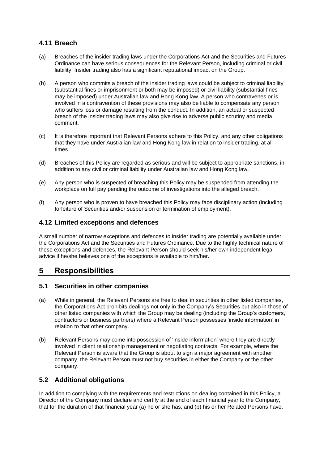## **4.11 Breach**

- (a) Breaches of the insider trading laws under the Corporations Act and the Securities and Futures Ordinance can have serious consequences for the Relevant Person, including criminal or civil liability. Insider trading also has a significant reputational impact on the Group.
- (b) A person who commits a breach of the insider trading laws could be subject to criminal liability (substantial fines or imprisonment or both may be imposed) or civil liability (substantial fines may be imposed) under Australian law and Hong Kong law. A person who contravenes or is involved in a contravention of these provisions may also be liable to compensate any person who suffers loss or damage resulting from the conduct. In addition, an actual or suspected breach of the insider trading laws may also give rise to adverse public scrutiny and media comment.
- (c) It is therefore important that Relevant Persons adhere to this Policy, and any other obligations that they have under Australian law and Hong Kong law in relation to insider trading, at all times.
- (d) Breaches of this Policy are regarded as serious and will be subject to appropriate sanctions, in addition to any civil or criminal liability under Australian law and Hong Kong law.
- (e) Any person who is suspected of breaching this Policy may be suspended from attending the workplace on full pay pending the outcome of investigations into the alleged breach.
- (f) Any person who is proven to have breached this Policy may face disciplinary action (including forfeiture of Securities and/or suspension or termination of employment).

#### **4.12 Limited exceptions and defences**

A small number of narrow exceptions and defences to insider trading are potentially available under the Corporations Act and the Securities and Futures Ordinance. Due to the highly technical nature of these exceptions and defences, the Relevant Person should seek his/her own independent legal advice if he/she believes one of the exceptions is available to him/her.

# **5 Responsibilities**

#### **5.1 Securities in other companies**

- (a) While in general, the Relevant Persons are free to deal in securities in other listed companies, the Corporations Act prohibits dealings not only in the Company's Securities but also in those of other listed companies with which the Group may be dealing (including the Group's customers, contractors or business partners) where a Relevant Person possesses 'inside information' in relation to that other company.
- (b) Relevant Persons may come into possession of 'inside information' where they are directly involved in client relationship management or negotiating contracts. For example, where the Relevant Person is aware that the Group is about to sign a major agreement with another company, the Relevant Person must not buy securities in either the Company or the other company.

## **5.2 Additional obligations**

In addition to complying with the requirements and restrictions on dealing contained in this Policy, a Director of the Company must declare and certify at the end of each financial year to the Company, that for the duration of that financial year (a) he or she has, and (b) his or her Related Persons have,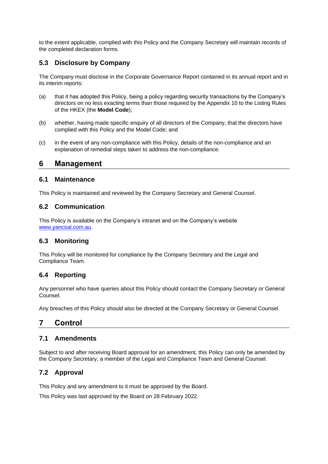to the extent applicable, complied with this Policy and the Company Secretary will maintain records of the completed declaration forms.

## **5.3 Disclosure by Company**

The Company must disclose in the Corporate Governance Report contained in its annual report and in its interim reports:

- (a) that it has adopted this Policy, being a policy regarding security transactions by the Company's directors on no less exacting terms than those required by the Appendix 10 to the Listing Rules of the HKEX (the **Model Code**);
- (b) whether, having made specific enquiry of all directors of the Company, that the directors have complied with this Policy and the Model Code; and
- (c) in the event of any non-compliance with this Policy, details of the non-compliance and an explanation of remedial steps taken to address the non-compliance.

## **6 Management**

#### **6.1 Maintenance**

This Policy is maintained and reviewed by the Company Secretary and General Counsel.

## **6.2 Communication**

This Policy is available on the Company's intranet and on the Company's website [www.yancoal.com.au.](http://www.yancoal.com.au/)

## **6.3 Monitoring**

This Policy will be monitored for compliance by the Company Secretary and the Legal and Compliance Team.

# **6.4 Reporting**

Any personnel who have queries about this Policy should contact the Company Secretary or General Counsel.

Any breaches of this Policy should also be directed at the Company Secretary or General Counsel.

# **7 Control**

## **7.1 Amendments**

Subject to and after receiving Board approval for an amendment, this Policy can only be amended by the Company Secretary, a member of the Legal and Compliance Team and General Counsel.

## **7.2 Approval**

This Policy and any amendment to it must be approved by the Board.

This Policy was last approved by the Board on 28 February 2022.